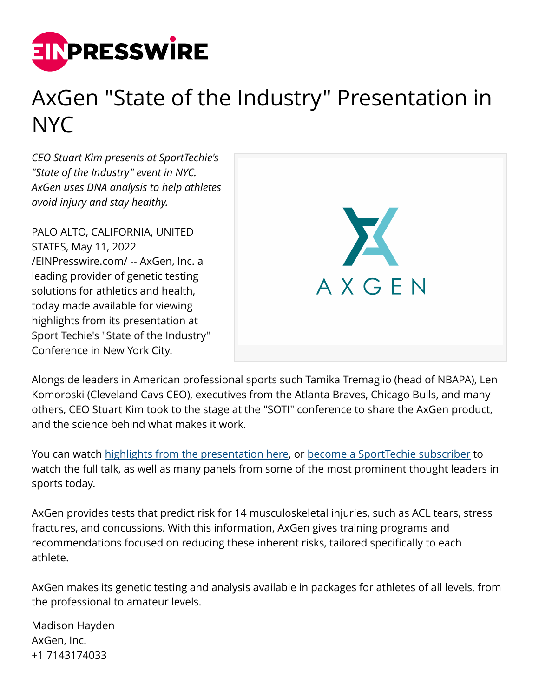

## AxGen "State of the Industry" Presentation in NYC

*CEO Stuart Kim presents at SportTechie's "State of the Industry" event in NYC. AxGen uses DNA analysis to help athletes avoid injury and stay healthy.*

PALO ALTO, CALIFORNIA, UNITED STATES, May 11, 2022 [/EINPresswire.com/](http://www.einpresswire.com) -- AxGen, Inc. a leading provider of genetic testing solutions for athletics and health, today made available for viewing highlights from its presentation at Sport Techie's "State of the Industry" Conference in New York City.



Alongside leaders in American professional sports such Tamika Tremaglio (head of NBAPA), Len Komoroski (Cleveland Cavs CEO), executives from the Atlanta Braves, Chicago Bulls, and many others, CEO Stuart Kim took to the stage at the "SOTI" conference to share the AxGen product, and the science behind what makes it work.

You can watch [highlights from the presentation here,](https://www.youtube.com/watch?v=Mg0qmWzR4tA) or [become a SportTechie subscriber](https://www.sporttechie.com/pro-member-event-recap-born-to-run-forecasting-risk-of-injury-through-nutrition-and-genetics-soti-2022) to watch the full talk, as well as many panels from some of the most prominent thought leaders in sports today.

AxGen provides tests that predict risk for 14 musculoskeletal injuries, such as ACL tears, stress fractures, and concussions. With this information, AxGen gives training programs and recommendations focused on reducing these inherent risks, tailored specifically to each athlete.

AxGen makes its genetic testing and analysis available in packages for athletes of all levels, from the professional to amateur levels.

Madison Hayden AxGen, Inc. +1 7143174033